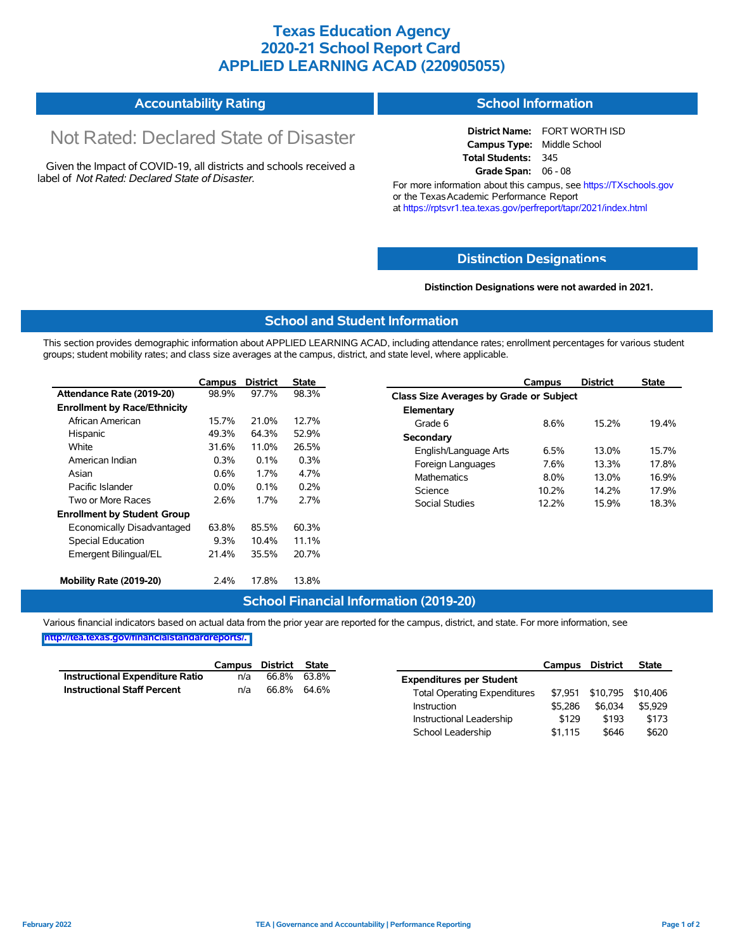## **Texas Education Agency 2020-21 School Report Card APPLIED LEARNING ACAD (220905055)**

| <b>Accountability Rating</b> | <b>School Information</b> |
|------------------------------|---------------------------|
|------------------------------|---------------------------|

# Not Rated: Declared State of Disaster

Given the Impact of COVID-19, all districts and schools received a label of *Not Rated: Declared State of Disaster.*

**District Name:** FORT WORTH ISD **Campus Type:** Middle School **Total Students:** 345 **Grade Span:** 06 - 08

For more information about this campus, see https://TXschools.gov or the Texas Academic Performance Report at https://rptsvr1.tea.texas.gov/perfreport/tapr/2021/index.html

#### **Distinction Designat[ions](https://TXschools.gov)**

**Distinction Designations were not awarded in 2021.**

School Leadership  $$1,115$   $$646$   $$620$ 

#### **School and Student Information**

This section provides demographic information about APPLIED LEARNING ACAD, including attendance rates; enrollment percentages for various student groups; student mobility rates; and class size averages at the campus, district, and state level, where applicable.

|                                     | Campus  | <b>District</b> | <b>State</b> | Campus                                  | <b>District</b> | <b>State</b> |  |  |  |  |
|-------------------------------------|---------|-----------------|--------------|-----------------------------------------|-----------------|--------------|--|--|--|--|
| Attendance Rate (2019-20)           | 98.9%   | 97.7%           | 98.3%        | Class Size Averages by Grade or Subject |                 |              |  |  |  |  |
| <b>Enrollment by Race/Ethnicity</b> |         |                 |              | Elementary                              |                 |              |  |  |  |  |
| African American                    | 15.7%   | 21.0%           | 12.7%        | 8.6%<br>Grade 6                         | 15.2%           | 19.4%        |  |  |  |  |
| Hispanic                            | 49.3%   | 64.3%           | 52.9%        | Secondary                               |                 |              |  |  |  |  |
| White                               | 31.6%   | 11.0%           | 26.5%        | 6.5%<br>English/Language Arts           | 13.0%           | 15.7%        |  |  |  |  |
| American Indian                     | 0.3%    | 0.1%            | 0.3%         | 7.6%<br>Foreign Languages               | 13.3%           | 17.8%        |  |  |  |  |
| Asian                               | 0.6%    | 1.7%            | 4.7%         | <b>Mathematics</b><br>8.0%              | 13.0%           | 16.9%        |  |  |  |  |
| Pacific Islander                    | $0.0\%$ | 0.1%            | 0.2%         | Science<br>10.2%                        | 14.2%           | 17.9%        |  |  |  |  |
| Two or More Races                   | 2.6%    | 1.7%            | 2.7%         | 12.2%<br>Social Studies                 | 15.9%           | 18.3%        |  |  |  |  |
| <b>Enrollment by Student Group</b>  |         |                 |              |                                         |                 |              |  |  |  |  |
| Economically Disadvantaged          | 63.8%   | 85.5%           | 60.3%        |                                         |                 |              |  |  |  |  |
| Special Education                   | 9.3%    | 10.4%           | 11.1%        |                                         |                 |              |  |  |  |  |
| Emergent Bilingual/EL               | 21.4%   | 35.5%           | 20.7%        |                                         |                 |              |  |  |  |  |
|                                     |         |                 |              |                                         |                 |              |  |  |  |  |
| Mobility Rate (2019-20)             | 2.4%    | 17.8%           | 13.8%        |                                         |                 |              |  |  |  |  |

#### **School Financial Information (2019-20)**

Various financial indicators based on actual data from the prior year are reported for the campus, district, and state. For more information, see

**[http://tea.texas.gov/financialstandardreports/.](http://tea.texas.gov/financialstandardreports/)**

|                                        | Campus | District | State       |                                     | Campus  | <b>District</b>           | <b>State</b> |
|----------------------------------------|--------|----------|-------------|-------------------------------------|---------|---------------------------|--------------|
| <b>Instructional Expenditure Ratio</b> | n/a    | 66.8%    | 63.8%       | <b>Expenditures per Student</b>     |         |                           |              |
| <b>Instructional Staff Percent</b>     | n/a    |          | 66.8% 64.6% | <b>Total Operating Expenditures</b> |         | \$7,951 \$10,795 \$10,406 |              |
|                                        |        |          |             | Instruction                         | \$5.286 | \$6.034                   | \$5.929      |
|                                        |        |          |             | Instructional Leadership            | \$129   | \$193                     | \$173        |